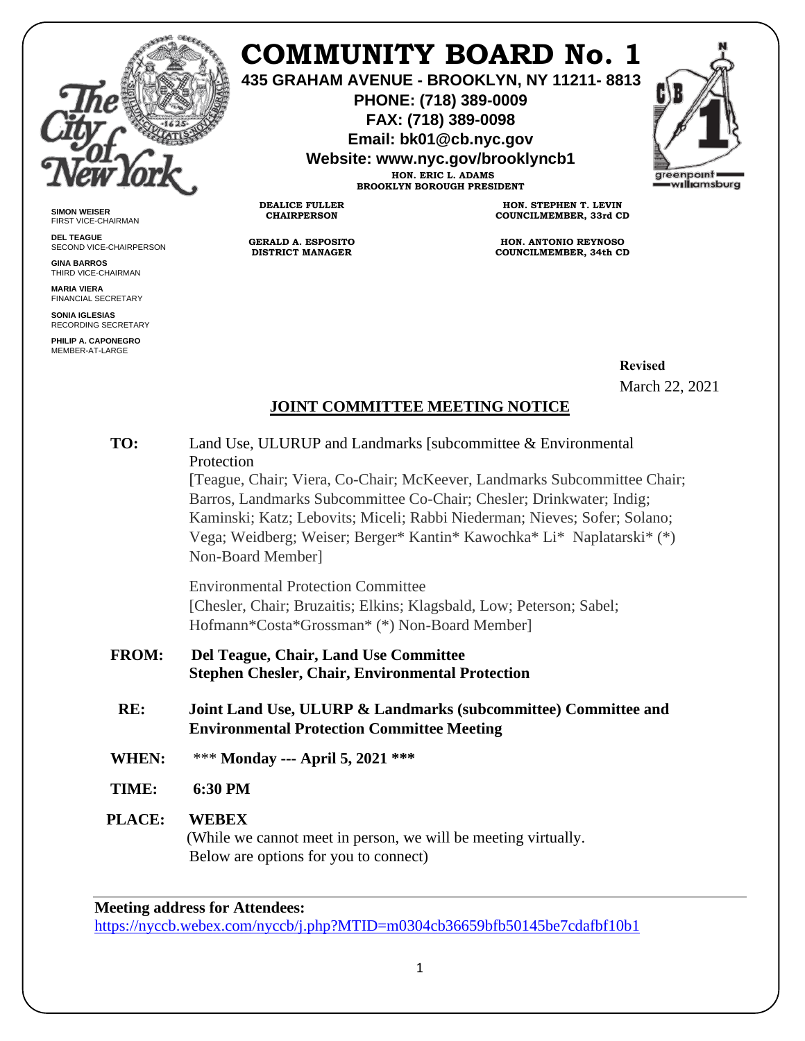

**SIMON WEISER** FIRST VICE-CHAIRMAN **DEL TEAGUE**

**GINA BARROS** THIRD VICE-CHAIRMAN **MARIA VIERA** FINANCIAL SECRETARY **SONIA IGLESIAS** RECORDING SECRETARY **PHILIP A. CAPONEGRO** MEMBER-AT-LARGE

SECOND VICE-CHAIRPERSON

## **COMMUNITY BOARD No. 1**

**435 GRAHAM AVENUE - BROOKLYN, NY 11211- 8813**

**PHONE: (718) 389-0009 FAX: (718) 389-0098**

**Email: bk01@cb.nyc.gov**

**Website: www.nyc.gov/brooklyncb1**

**HON. ERIC L. ADAMS BROOKLYN BOROUGH PRESIDENT**

**DEALICE FULLER CHAIRPERSON**

**GERALD A. ESPOSITO DISTRICT MANAGER**

**HON. STEPHEN T. LEVIN COUNCILMEMBER, 33rd CD**

**HON. ANTONIO REYNOSO COUNCILMEMBER, 34th CD**

> **Revised** March 22, 2021

## **JOINT COMMITTEE MEETING NOTICE**

| TO:          | Land Use, ULURUP and Landmarks [subcommittee & Environmental<br>Protection                                                                                                                                                                                                                                                   |
|--------------|------------------------------------------------------------------------------------------------------------------------------------------------------------------------------------------------------------------------------------------------------------------------------------------------------------------------------|
|              | [Teague, Chair; Viera, Co-Chair; McKeever, Landmarks Subcommittee Chair;<br>Barros, Landmarks Subcommittee Co-Chair; Chesler; Drinkwater; Indig;<br>Kaminski; Katz; Lebovits; Miceli; Rabbi Niederman; Nieves; Sofer; Solano;<br>Vega; Weidberg; Weiser; Berger* Kantin* Kawochka* Li* Naplatarski* (*)<br>Non-Board Member] |
|              | <b>Environmental Protection Committee</b><br>[Chesler, Chair; Bruzaitis; Elkins; Klagsbald, Low; Peterson; Sabel;<br>Hofmann*Costa*Grossman* (*) Non-Board Member]                                                                                                                                                           |
| <b>FROM:</b> | Del Teague, Chair, Land Use Committee<br><b>Stephen Chesler, Chair, Environmental Protection</b>                                                                                                                                                                                                                             |
| RE:          | Joint Land Use, ULURP & Landmarks (subcommittee) Committee and<br><b>Environmental Protection Committee Meeting</b>                                                                                                                                                                                                          |
| <b>WHEN:</b> | *** Monday --- April 5, 2021 ***                                                                                                                                                                                                                                                                                             |
| TIME:        | 6:30 PM                                                                                                                                                                                                                                                                                                                      |
| PLACE:       | <b>WEBEX</b><br>(While we cannot meet in person, we will be meeting virtually.<br>Below are options for you to connect)                                                                                                                                                                                                      |

**Meeting address for Attendees:**

<https://nyccb.webex.com/nyccb/j.php?MTID=m0304cb36659bfb50145be7cdafbf10b1>